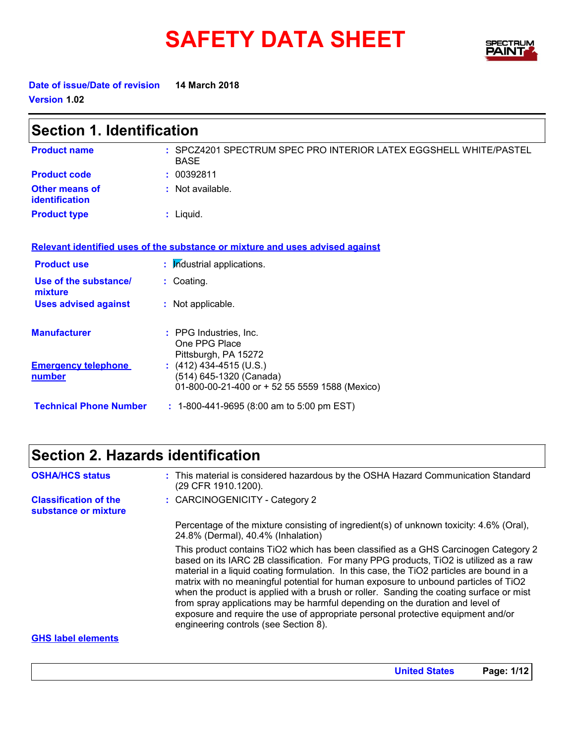# **SAFETY DATA SHEET**



**Date of issue/Date of revision 14 March 2018 Version 1.02**

| <b>Section 1. Identification</b>        |                                                                                                      |  |  |  |
|-----------------------------------------|------------------------------------------------------------------------------------------------------|--|--|--|
| <b>Product name</b>                     | : SPCZ4201 SPECTRUM SPEC PRO INTERIOR LATEX EGGSHELL WHITE/PASTEL<br><b>BASE</b>                     |  |  |  |
| <b>Product code</b>                     | : 00392811                                                                                           |  |  |  |
| Other means of<br><b>identification</b> | $:$ Not available.                                                                                   |  |  |  |
| <b>Product type</b>                     | $:$ Liquid.                                                                                          |  |  |  |
|                                         | Relevant identified uses of the substance or mixture and uses advised against                        |  |  |  |
| <b>Product use</b>                      | : Industrial applications.                                                                           |  |  |  |
| Use of the substance/<br>mixture        | : Coating.                                                                                           |  |  |  |
| <b>Uses advised against</b>             | : Not applicable.                                                                                    |  |  |  |
| <b>Manufacturer</b>                     | : PPG Industries, Inc.<br>One PPG Place<br>Pittsburgh, PA 15272                                      |  |  |  |
| <b>Emergency telephone</b><br>number    | $(412)$ 434-4515 (U.S.)<br>(514) 645-1320 (Canada)<br>01-800-00-21-400 or + 52 55 5559 1588 (Mexico) |  |  |  |
| <b>Technical Phone Number</b>           | $: 1-800-441-9695 (8:00 am to 5:00 pm EST)$                                                          |  |  |  |

## **Section 2. Hazards identification**

| <b>OSHA/HCS status</b>                               | : This material is considered hazardous by the OSHA Hazard Communication Standard<br>(29 CFR 1910.1200).                                                                                                                                                                                                                                                                                                                                                                                                                                                                                                                                                                  |
|------------------------------------------------------|---------------------------------------------------------------------------------------------------------------------------------------------------------------------------------------------------------------------------------------------------------------------------------------------------------------------------------------------------------------------------------------------------------------------------------------------------------------------------------------------------------------------------------------------------------------------------------------------------------------------------------------------------------------------------|
| <b>Classification of the</b><br>substance or mixture | : CARCINOGENICITY - Category 2                                                                                                                                                                                                                                                                                                                                                                                                                                                                                                                                                                                                                                            |
|                                                      | Percentage of the mixture consisting of ingredient(s) of unknown toxicity: 4.6% (Oral),<br>24.8% (Dermal), 40.4% (Inhalation)                                                                                                                                                                                                                                                                                                                                                                                                                                                                                                                                             |
|                                                      | This product contains TiO2 which has been classified as a GHS Carcinogen Category 2<br>based on its IARC 2B classification. For many PPG products, TiO2 is utilized as a raw<br>material in a liquid coating formulation. In this case, the TiO2 particles are bound in a<br>matrix with no meaningful potential for human exposure to unbound particles of TiO2<br>when the product is applied with a brush or roller. Sanding the coating surface or mist<br>from spray applications may be harmful depending on the duration and level of<br>exposure and require the use of appropriate personal protective equipment and/or<br>engineering controls (see Section 8). |
| <b>GHS label elements</b>                            |                                                                                                                                                                                                                                                                                                                                                                                                                                                                                                                                                                                                                                                                           |

#### **GHS label elements**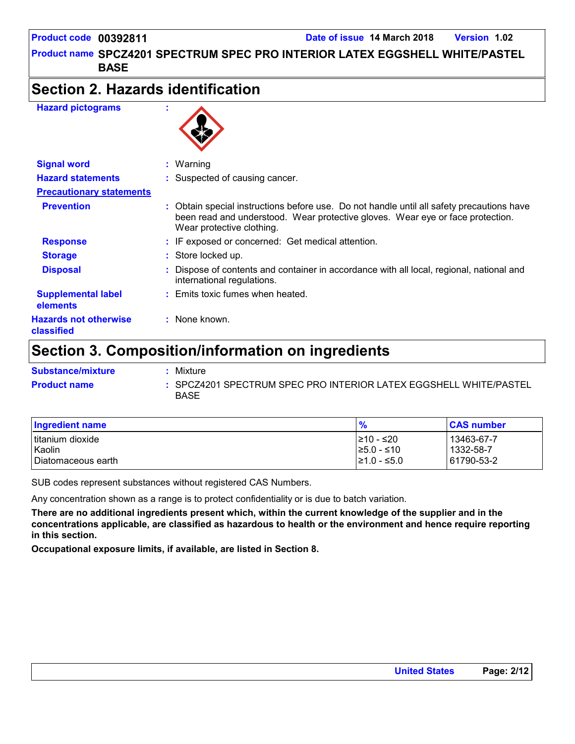**Product name SPCZ4201 SPECTRUM SPEC PRO INTERIOR LATEX EGGSHELL WHITE/PASTEL [1] BASE**

### **Section 2. Hazards identification**

#### **Hazard pictograms :**



| <b>Signal word</b>                         | $:$ Warning                                                                                                                                                                                              |
|--------------------------------------------|----------------------------------------------------------------------------------------------------------------------------------------------------------------------------------------------------------|
| <b>Hazard statements</b>                   | : Suspected of causing cancer.                                                                                                                                                                           |
| <b>Precautionary statements</b>            |                                                                                                                                                                                                          |
| <b>Prevention</b>                          | : Obtain special instructions before use. Do not handle until all safety precautions have<br>been read and understood. Wear protective gloves. Wear eye or face protection.<br>Wear protective clothing. |
| <b>Response</b>                            | : IF exposed or concerned: Get medical attention.                                                                                                                                                        |
| <b>Storage</b>                             | : Store locked up.                                                                                                                                                                                       |
| <b>Disposal</b>                            | Dispose of contents and container in accordance with all local, regional, national and<br>international regulations.                                                                                     |
| <b>Supplemental label</b><br>elements      | : Emits toxic fumes when heated.                                                                                                                                                                         |
| <b>Hazards not otherwise</b><br>classified | $:$ None known.                                                                                                                                                                                          |

### **Section 3. Composition/information on ingredients**

| <b>Substance/mixture</b> | Mixture                                                                          |
|--------------------------|----------------------------------------------------------------------------------|
| <b>Product name</b>      | : SPCZ4201 SPECTRUM SPEC PRO INTERIOR LATEX EGGSHELL WHITE/PASTEL<br><b>BASE</b> |

| Ingredient name    | $\frac{9}{6}$    | <b>CAS number</b> |
|--------------------|------------------|-------------------|
| I titanium dioxide | l≥10 - ≤20       | 13463-67-7        |
| Kaolin             | $\geq 5.0 - 510$ | 1332-58-7         |
| Diatomaceous earth | $\geq 1.0 - 5.0$ | 61790-53-2        |

SUB codes represent substances without registered CAS Numbers.

Any concentration shown as a range is to protect confidentiality or is due to batch variation.

**There are no additional ingredients present which, within the current knowledge of the supplier and in the concentrations applicable, are classified as hazardous to health or the environment and hence require reporting in this section.**

**Occupational exposure limits, if available, are listed in Section 8.**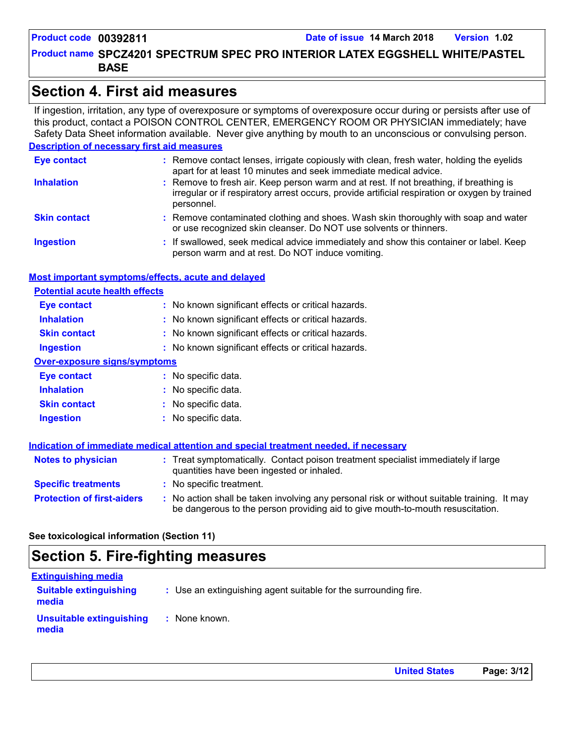**Product name SPCZ4201 SPECTRUM SPEC PRO INTERIOR LATEX EGGSHELL WHITE/PASTEL [1] BASE**

### **Section 4. First aid measures**

If ingestion, irritation, any type of overexposure or symptoms of overexposure occur during or persists after use of this product, contact a POISON CONTROL CENTER, EMERGENCY ROOM OR PHYSICIAN immediately; have Safety Data Sheet information available. Never give anything by mouth to an unconscious or convulsing person.

#### **Description of necessary first aid measures**

| <b>Eye contact</b>  | : Remove contact lenses, irrigate copiously with clean, fresh water, holding the eyelids<br>apart for at least 10 minutes and seek immediate medical advice.                                           |  |
|---------------------|--------------------------------------------------------------------------------------------------------------------------------------------------------------------------------------------------------|--|
| <b>Inhalation</b>   | : Remove to fresh air. Keep person warm and at rest. If not breathing, if breathing is<br>irregular or if respiratory arrest occurs, provide artificial respiration or oxygen by trained<br>personnel. |  |
| <b>Skin contact</b> | : Remove contaminated clothing and shoes. Wash skin thoroughly with soap and water<br>or use recognized skin cleanser. Do NOT use solvents or thinners.                                                |  |
| <b>Ingestion</b>    | : If swallowed, seek medical advice immediately and show this container or label. Keep<br>person warm and at rest. Do NOT induce vomiting.                                                             |  |

#### **Most important symptoms/effects, acute and delayed**

| <b>Potential acute health effects</b> |                                                     |
|---------------------------------------|-----------------------------------------------------|
| <b>Eye contact</b>                    | : No known significant effects or critical hazards. |
| <b>Inhalation</b>                     | : No known significant effects or critical hazards. |
| <b>Skin contact</b>                   | : No known significant effects or critical hazards. |
| <b>Ingestion</b>                      | : No known significant effects or critical hazards. |
| <b>Over-exposure signs/symptoms</b>   |                                                     |
| <b>Eye contact</b>                    | : No specific data.                                 |
| <b>Inhalation</b>                     | : No specific data.                                 |
| <b>Skin contact</b>                   | : No specific data.                                 |
| <b>Ingestion</b>                      | No specific data.                                   |

|                                   | Indication of immediate medical attention and special treatment needed, if necessary                                                                                          |
|-----------------------------------|-------------------------------------------------------------------------------------------------------------------------------------------------------------------------------|
| <b>Notes to physician</b>         | : Treat symptomatically. Contact poison treatment specialist immediately if large<br>quantities have been ingested or inhaled.                                                |
| <b>Specific treatments</b>        | : No specific treatment.                                                                                                                                                      |
| <b>Protection of first-aiders</b> | : No action shall be taken involving any personal risk or without suitable training. It may<br>be dangerous to the person providing aid to give mouth-to-mouth resuscitation. |

#### **See toxicological information (Section 11)**

### **Section 5. Fire-fighting measures**

| <b>Extinguishing media</b>             |                                                                 |
|----------------------------------------|-----------------------------------------------------------------|
| <b>Suitable extinguishing</b><br>media | : Use an extinguishing agent suitable for the surrounding fire. |
| Unsuitable extinguishing<br>media      | : None known.                                                   |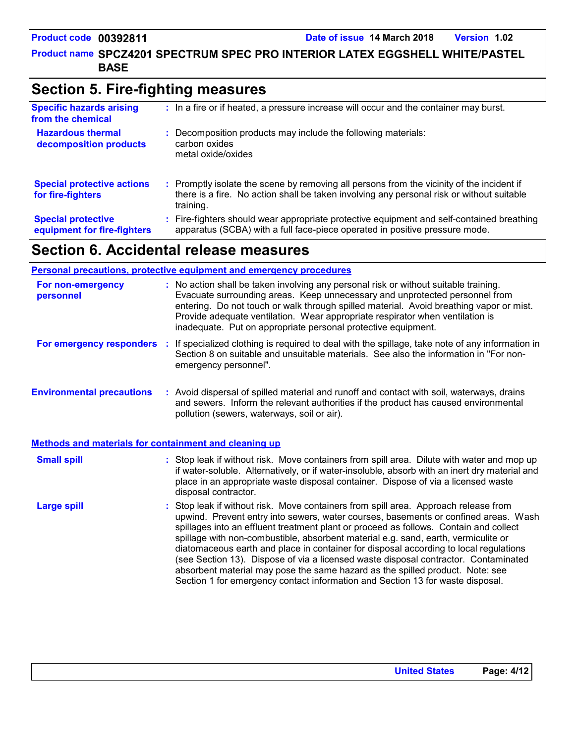**Product name SPCZ4201 SPECTRUM SPEC PRO INTERIOR LATEX EGGSHELL WHITE/PASTEL [1] BASE**

### **Section 5. Fire-fighting measures**

| <b>Specific hazards arising</b><br>from the chemical     | : In a fire or if heated, a pressure increase will occur and the container may burst.                                                                                                               |
|----------------------------------------------------------|-----------------------------------------------------------------------------------------------------------------------------------------------------------------------------------------------------|
| <b>Hazardous thermal</b><br>decomposition products       | Decomposition products may include the following materials:<br>carbon oxides<br>metal oxide/oxides                                                                                                  |
| <b>Special protective actions</b><br>for fire-fighters   | : Promptly isolate the scene by removing all persons from the vicinity of the incident if<br>there is a fire. No action shall be taken involving any personal risk or without suitable<br>training. |
| <b>Special protective</b><br>equipment for fire-fighters | Fire-fighters should wear appropriate protective equipment and self-contained breathing<br>apparatus (SCBA) with a full face-piece operated in positive pressure mode.                              |

## **Section 6. Accidental release measures**

|                                                              | <b>Personal precautions, protective equipment and emergency procedures</b>                                                                                                                                                                                                                                                                                                                                                                                                                                                                                                                                                                                                                                   |  |
|--------------------------------------------------------------|--------------------------------------------------------------------------------------------------------------------------------------------------------------------------------------------------------------------------------------------------------------------------------------------------------------------------------------------------------------------------------------------------------------------------------------------------------------------------------------------------------------------------------------------------------------------------------------------------------------------------------------------------------------------------------------------------------------|--|
| For non-emergency<br>personnel                               | : No action shall be taken involving any personal risk or without suitable training.<br>Evacuate surrounding areas. Keep unnecessary and unprotected personnel from<br>entering. Do not touch or walk through spilled material. Avoid breathing vapor or mist.<br>Provide adequate ventilation. Wear appropriate respirator when ventilation is<br>inadequate. Put on appropriate personal protective equipment.                                                                                                                                                                                                                                                                                             |  |
| For emergency responders                                     | : If specialized clothing is required to deal with the spillage, take note of any information in<br>Section 8 on suitable and unsuitable materials. See also the information in "For non-<br>emergency personnel".                                                                                                                                                                                                                                                                                                                                                                                                                                                                                           |  |
| <b>Environmental precautions</b>                             | : Avoid dispersal of spilled material and runoff and contact with soil, waterways, drains<br>and sewers. Inform the relevant authorities if the product has caused environmental<br>pollution (sewers, waterways, soil or air).                                                                                                                                                                                                                                                                                                                                                                                                                                                                              |  |
| <b>Methods and materials for containment and cleaning up</b> |                                                                                                                                                                                                                                                                                                                                                                                                                                                                                                                                                                                                                                                                                                              |  |
| <b>Small spill</b>                                           | : Stop leak if without risk. Move containers from spill area. Dilute with water and mop up<br>if water-soluble. Alternatively, or if water-insoluble, absorb with an inert dry material and<br>place in an appropriate waste disposal container. Dispose of via a licensed waste<br>disposal contractor.                                                                                                                                                                                                                                                                                                                                                                                                     |  |
| <b>Large spill</b>                                           | : Stop leak if without risk. Move containers from spill area. Approach release from<br>upwind. Prevent entry into sewers, water courses, basements or confined areas. Wash<br>spillages into an effluent treatment plant or proceed as follows. Contain and collect<br>spillage with non-combustible, absorbent material e.g. sand, earth, vermiculite or<br>diatomaceous earth and place in container for disposal according to local regulations<br>(see Section 13). Dispose of via a licensed waste disposal contractor. Contaminated<br>absorbent material may pose the same hazard as the spilled product. Note: see<br>Section 1 for emergency contact information and Section 13 for waste disposal. |  |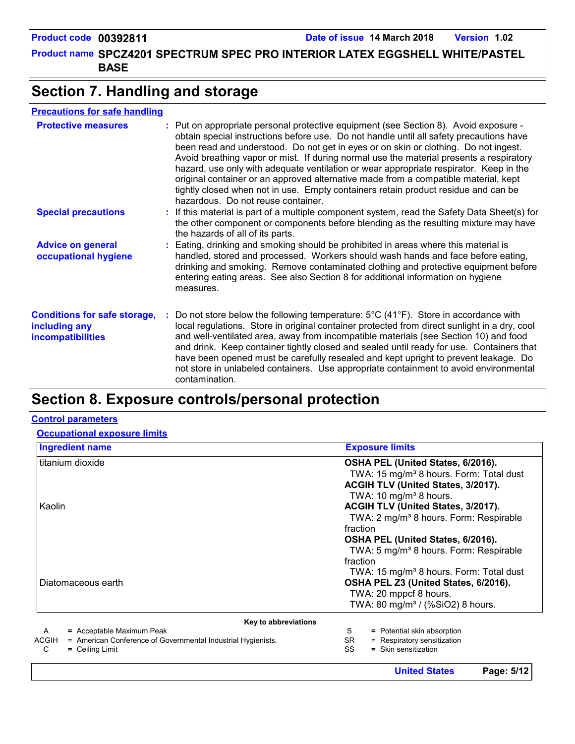**United States Page: 5/12**

**Product name SPCZ4201 SPECTRUM SPEC PRO INTERIOR LATEX EGGSHELL WHITE/PASTEL [1] BASE**

### **Section 7. Handling and storage**

#### **Precautions for safe handling**

| <b>Protective measures</b>                                                       | : Put on appropriate personal protective equipment (see Section 8). Avoid exposure -<br>obtain special instructions before use. Do not handle until all safety precautions have<br>been read and understood. Do not get in eyes or on skin or clothing. Do not ingest.<br>Avoid breathing vapor or mist. If during normal use the material presents a respiratory<br>hazard, use only with adequate ventilation or wear appropriate respirator. Keep in the<br>original container or an approved alternative made from a compatible material, kept<br>tightly closed when not in use. Empty containers retain product residue and can be<br>hazardous. Do not reuse container. |
|----------------------------------------------------------------------------------|--------------------------------------------------------------------------------------------------------------------------------------------------------------------------------------------------------------------------------------------------------------------------------------------------------------------------------------------------------------------------------------------------------------------------------------------------------------------------------------------------------------------------------------------------------------------------------------------------------------------------------------------------------------------------------|
| <b>Special precautions</b>                                                       | : If this material is part of a multiple component system, read the Safety Data Sheet(s) for<br>the other component or components before blending as the resulting mixture may have<br>the hazards of all of its parts.                                                                                                                                                                                                                                                                                                                                                                                                                                                        |
| <b>Advice on general</b><br>occupational hygiene                                 | : Eating, drinking and smoking should be prohibited in areas where this material is<br>handled, stored and processed. Workers should wash hands and face before eating,<br>drinking and smoking. Remove contaminated clothing and protective equipment before<br>entering eating areas. See also Section 8 for additional information on hygiene<br>measures.                                                                                                                                                                                                                                                                                                                  |
| <b>Conditions for safe storage,</b><br>including any<br><i>incompatibilities</i> | Do not store below the following temperature: $5^{\circ}$ C (41 <sup>°</sup> F). Store in accordance with<br>local regulations. Store in original container protected from direct sunlight in a dry, cool<br>and well-ventilated area, away from incompatible materials (see Section 10) and food<br>and drink. Keep container tightly closed and sealed until ready for use. Containers that<br>have been opened must be carefully resealed and kept upright to prevent leakage. Do<br>not store in unlabeled containers. Use appropriate containment to avoid environmental<br>contamination.                                                                                |

### **Section 8. Exposure controls/personal protection**

#### **Control parameters**

**Occupational exposure limits**

| <b>Ingredient name</b>                                                                                 | <b>Exposure limits</b>                                                 |  |  |
|--------------------------------------------------------------------------------------------------------|------------------------------------------------------------------------|--|--|
| titanium dioxide                                                                                       | OSHA PEL (United States, 6/2016).                                      |  |  |
|                                                                                                        | TWA: 15 mg/m <sup>3</sup> 8 hours. Form: Total dust                    |  |  |
|                                                                                                        | ACGIH TLV (United States, 3/2017).                                     |  |  |
|                                                                                                        | TWA: 10 mg/m <sup>3</sup> 8 hours.                                     |  |  |
| Kaolin                                                                                                 | ACGIH TLV (United States, 3/2017).                                     |  |  |
|                                                                                                        | TWA: 2 mg/m <sup>3</sup> 8 hours. Form: Respirable                     |  |  |
|                                                                                                        | fraction                                                               |  |  |
|                                                                                                        | OSHA PEL (United States, 6/2016).                                      |  |  |
|                                                                                                        | TWA: 5 mg/m <sup>3</sup> 8 hours. Form: Respirable                     |  |  |
|                                                                                                        | fraction                                                               |  |  |
| Diatomaceous earth                                                                                     | TWA: 15 mg/m <sup>3</sup> 8 hours. Form: Total dust                    |  |  |
|                                                                                                        | OSHA PEL Z3 (United States, 6/2016).                                   |  |  |
|                                                                                                        | TWA: 20 mppcf 8 hours.<br>TWA: 80 mg/m <sup>3</sup> / (%SiO2) 8 hours. |  |  |
|                                                                                                        |                                                                        |  |  |
| Key to abbreviations                                                                                   |                                                                        |  |  |
| = Acceptable Maximum Peak<br>A                                                                         | S<br>= Potential skin absorption                                       |  |  |
| = American Conference of Governmental Industrial Hygienists.<br><b>ACGIH</b><br>C<br>$=$ Ceiling Limit | = Respiratory sensitization<br>SR.<br>SS<br>= Skin sensitization       |  |  |
|                                                                                                        |                                                                        |  |  |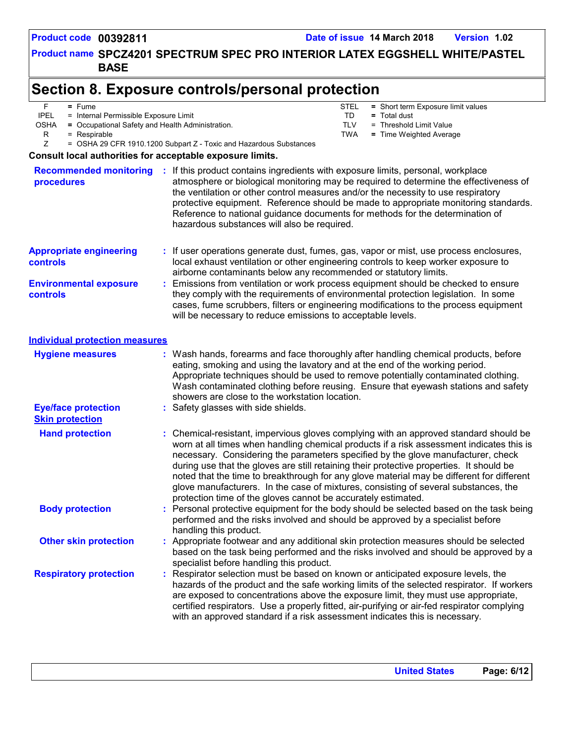**Product name SPCZ4201 SPECTRUM SPEC PRO INTERIOR LATEX EGGSHELL WHITE/PASTEL [1] BASE**

### **Section 8. Exposure controls/personal protection**

|  |  | Fume |
|--|--|------|
|--|--|------|

IPEL = Internal Permissible Exposure Limit<br>OSHA = Occupational Safety and Health Adn

= Occupational Safety and Health Administration.

 $R = Respirable$ 

- TD **=** Total dust TLV = Threshold Limit Value<br>TWA = Time Weighted Avera STEL **=** Short term Exposure limit values
	- = Time Weighted Average

Z = OSHA 29 CFR 1910.1200 Subpart Z - Toxic and Hazardous Substances

#### **Consult local authorities for acceptable exposure limits.**

| <b>Recommended monitoring</b><br>procedures          |    | If this product contains ingredients with exposure limits, personal, workplace<br>atmosphere or biological monitoring may be required to determine the effectiveness of<br>the ventilation or other control measures and/or the necessity to use respiratory<br>protective equipment. Reference should be made to appropriate monitoring standards.<br>Reference to national guidance documents for methods for the determination of<br>hazardous substances will also be required.                                                                                                                                  |
|------------------------------------------------------|----|----------------------------------------------------------------------------------------------------------------------------------------------------------------------------------------------------------------------------------------------------------------------------------------------------------------------------------------------------------------------------------------------------------------------------------------------------------------------------------------------------------------------------------------------------------------------------------------------------------------------|
| <b>Appropriate engineering</b><br><b>controls</b>    |    | : If user operations generate dust, fumes, gas, vapor or mist, use process enclosures,<br>local exhaust ventilation or other engineering controls to keep worker exposure to<br>airborne contaminants below any recommended or statutory limits.                                                                                                                                                                                                                                                                                                                                                                     |
| <b>Environmental exposure</b><br>controls            |    | Emissions from ventilation or work process equipment should be checked to ensure<br>they comply with the requirements of environmental protection legislation. In some<br>cases, fume scrubbers, filters or engineering modifications to the process equipment<br>will be necessary to reduce emissions to acceptable levels.                                                                                                                                                                                                                                                                                        |
| <b>Individual protection measures</b>                |    |                                                                                                                                                                                                                                                                                                                                                                                                                                                                                                                                                                                                                      |
| <b>Hygiene measures</b>                              |    | : Wash hands, forearms and face thoroughly after handling chemical products, before<br>eating, smoking and using the lavatory and at the end of the working period.<br>Appropriate techniques should be used to remove potentially contaminated clothing.<br>Wash contaminated clothing before reusing. Ensure that eyewash stations and safety<br>showers are close to the workstation location.                                                                                                                                                                                                                    |
| <b>Eye/face protection</b><br><b>Skin protection</b> |    | : Safety glasses with side shields.                                                                                                                                                                                                                                                                                                                                                                                                                                                                                                                                                                                  |
| <b>Hand protection</b>                               | ÷. | Chemical-resistant, impervious gloves complying with an approved standard should be<br>worn at all times when handling chemical products if a risk assessment indicates this is<br>necessary. Considering the parameters specified by the glove manufacturer, check<br>during use that the gloves are still retaining their protective properties. It should be<br>noted that the time to breakthrough for any glove material may be different for different<br>glove manufacturers. In the case of mixtures, consisting of several substances, the<br>protection time of the gloves cannot be accurately estimated. |
| <b>Body protection</b>                               |    | Personal protective equipment for the body should be selected based on the task being<br>performed and the risks involved and should be approved by a specialist before<br>handling this product.                                                                                                                                                                                                                                                                                                                                                                                                                    |
| <b>Other skin protection</b>                         |    | Appropriate footwear and any additional skin protection measures should be selected<br>based on the task being performed and the risks involved and should be approved by a<br>specialist before handling this product.                                                                                                                                                                                                                                                                                                                                                                                              |
| <b>Respiratory protection</b>                        |    | Respirator selection must be based on known or anticipated exposure levels, the<br>hazards of the product and the safe working limits of the selected respirator. If workers<br>are exposed to concentrations above the exposure limit, they must use appropriate,<br>certified respirators. Use a properly fitted, air-purifying or air-fed respirator complying<br>with an approved standard if a risk assessment indicates this is necessary.                                                                                                                                                                     |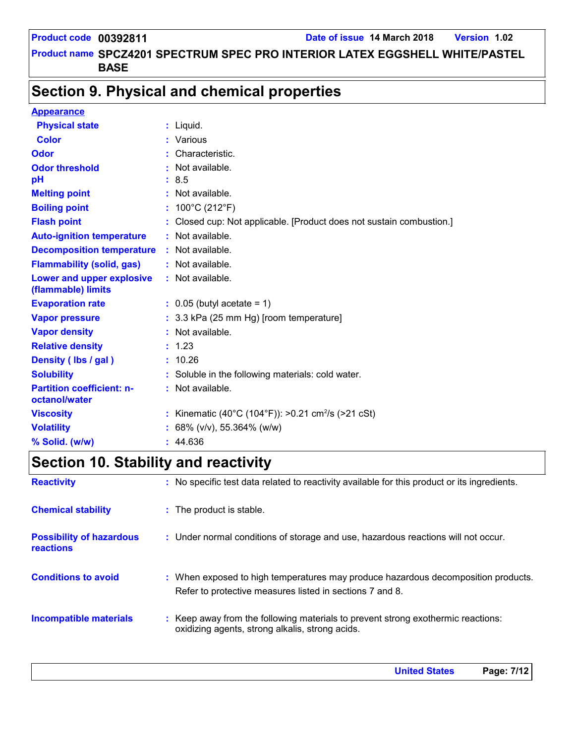#### **Product name SPCZ4201 SPECTRUM SPEC PRO INTERIOR LATEX EGGSHELL WHITE/PASTEL [1] BASE**

### **Section 9. Physical and chemical properties**

#### **Appearance**

| <b>Physical state</b>            | $:$ Liquid.                                                          |
|----------------------------------|----------------------------------------------------------------------|
| <b>Color</b>                     | : Various                                                            |
| Odor                             | : Characteristic.                                                    |
| <b>Odor threshold</b>            | Not available.                                                       |
| pH                               | : 8.5                                                                |
| <b>Melting point</b>             | : Not available.                                                     |
| <b>Boiling point</b>             | : $100^{\circ}$ C (212 $^{\circ}$ F)                                 |
| <b>Flash point</b>               | : Closed cup: Not applicable. [Product does not sustain combustion.] |
| <b>Auto-ignition temperature</b> | : Not available.                                                     |
| <b>Decomposition temperature</b> | $:$ Not available.                                                   |
| <b>Flammability (solid, gas)</b> | : Not available.                                                     |
| Lower and upper explosive        | : Not available.                                                     |
| (flammable) limits               |                                                                      |
| <b>Evaporation rate</b>          | $\therefore$ 0.05 (butyl acetate = 1)                                |
| <b>Vapor pressure</b>            | : 3.3 kPa (25 mm Hg) [room temperature]                              |
| <b>Vapor density</b>             | : Not available.                                                     |
| <b>Relative density</b>          | : 1.23                                                               |
| Density (Ibs / gal)              | : 10.26                                                              |
| <b>Solubility</b>                | : Soluble in the following materials: cold water.                    |
| <b>Partition coefficient: n-</b> | : Not available.                                                     |
| octanol/water                    |                                                                      |
| <b>Viscosity</b>                 | : Kinematic (40°C (104°F)): >0.21 cm <sup>2</sup> /s (>21 cSt)       |
| <b>Volatility</b>                | : 68% ( $v/v$ ), 55.364% ( $w/w$ )                                   |
| % Solid. (w/w)                   | : 44.636                                                             |

## **Section 10. Stability and reactivity**

| <b>Reactivity</b>                            | : No specific test data related to reactivity available for this product or its ingredients.                                                  |
|----------------------------------------------|-----------------------------------------------------------------------------------------------------------------------------------------------|
| <b>Chemical stability</b>                    | : The product is stable.                                                                                                                      |
| <b>Possibility of hazardous</b><br>reactions | : Under normal conditions of storage and use, hazardous reactions will not occur.                                                             |
| <b>Conditions to avoid</b>                   | : When exposed to high temperatures may produce hazardous decomposition products.<br>Refer to protective measures listed in sections 7 and 8. |
| <b>Incompatible materials</b>                | : Keep away from the following materials to prevent strong exothermic reactions:<br>oxidizing agents, strong alkalis, strong acids.           |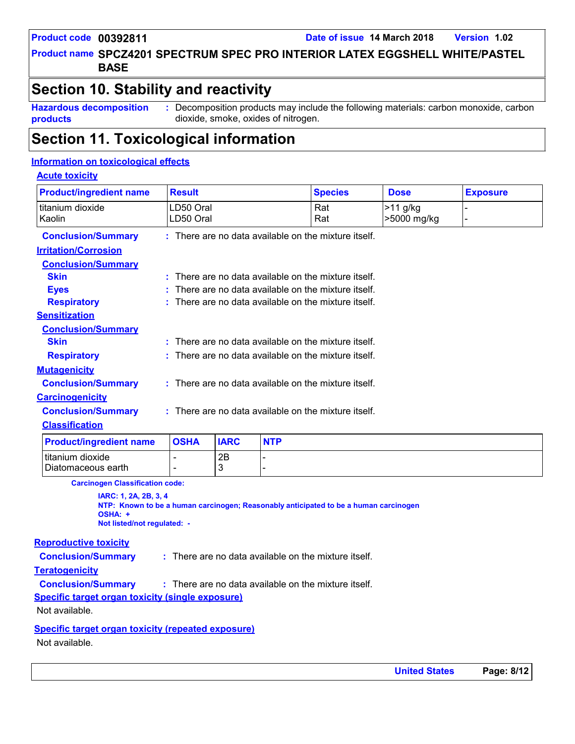**Product name SPCZ4201 SPECTRUM SPEC PRO INTERIOR LATEX EGGSHELL WHITE/PASTEL [1] BASE**

### **Section 10. Stability and reactivity**

**Hazardous decomposition products :** Decomposition products may include the following materials: carbon monoxide, carbon dioxide, smoke, oxides of nitrogen.

**Section 11. Toxicological information**

#### **Information on toxicological effects**

#### **Acute toxicity**

| <b>Product/ingredient name</b>         | <b>Result</b>                                          |             |            | <b>Species</b>                                         | <b>Dose</b>             | <b>Exposure</b> |
|----------------------------------------|--------------------------------------------------------|-------------|------------|--------------------------------------------------------|-------------------------|-----------------|
| titanium dioxide<br>Kaolin             | LD50 Oral<br>LD50 Oral                                 |             |            | Rat<br>Rat                                             | >11 g/kg<br>>5000 mg/kg |                 |
| <b>Conclusion/Summary</b>              |                                                        |             |            | $:$ There are no data available on the mixture itself. |                         |                 |
| <b>Irritation/Corrosion</b>            |                                                        |             |            |                                                        |                         |                 |
| <b>Conclusion/Summary</b>              |                                                        |             |            |                                                        |                         |                 |
| <b>Skin</b>                            |                                                        |             |            | $:$ There are no data available on the mixture itself. |                         |                 |
| <b>Eyes</b>                            |                                                        |             |            | There are no data available on the mixture itself.     |                         |                 |
| <b>Respiratory</b>                     |                                                        |             |            | : There are no data available on the mixture itself.   |                         |                 |
| <b>Sensitization</b>                   |                                                        |             |            |                                                        |                         |                 |
| <b>Conclusion/Summary</b>              |                                                        |             |            |                                                        |                         |                 |
| <b>Skin</b>                            |                                                        |             |            | $:$ There are no data available on the mixture itself. |                         |                 |
| <b>Respiratory</b>                     | $:$ There are no data available on the mixture itself. |             |            |                                                        |                         |                 |
| <b>Mutagenicity</b>                    |                                                        |             |            |                                                        |                         |                 |
| <b>Conclusion/Summary</b>              | : There are no data available on the mixture itself.   |             |            |                                                        |                         |                 |
| <b>Carcinogenicity</b>                 |                                                        |             |            |                                                        |                         |                 |
| <b>Conclusion/Summary</b>              | : There are no data available on the mixture itself.   |             |            |                                                        |                         |                 |
| <b>Classification</b>                  |                                                        |             |            |                                                        |                         |                 |
| <b>Product/ingredient name</b>         | <b>OSHA</b>                                            | <b>IARC</b> | <b>NTP</b> |                                                        |                         |                 |
| titanium dioxide<br>Diatomaceous earth |                                                        | 2B<br>3     |            |                                                        |                         |                 |

**Carcinogen Classification code:**

**IARC: 1, 2A, 2B, 3, 4 NTP: Known to be a human carcinogen; Reasonably anticipated to be a human carcinogen OSHA: + Not listed/not regulated: -**

#### **Reproductive toxicity**

**Conclusion/Summary :** There are no data available on the mixture itself.

**Teratogenicity**

**Conclusion/Summary :** : There are no data available on the mixture itself.

**Specific target organ toxicity (single exposure)**

Not available.

**Specific target organ toxicity (repeated exposure)**

Not available.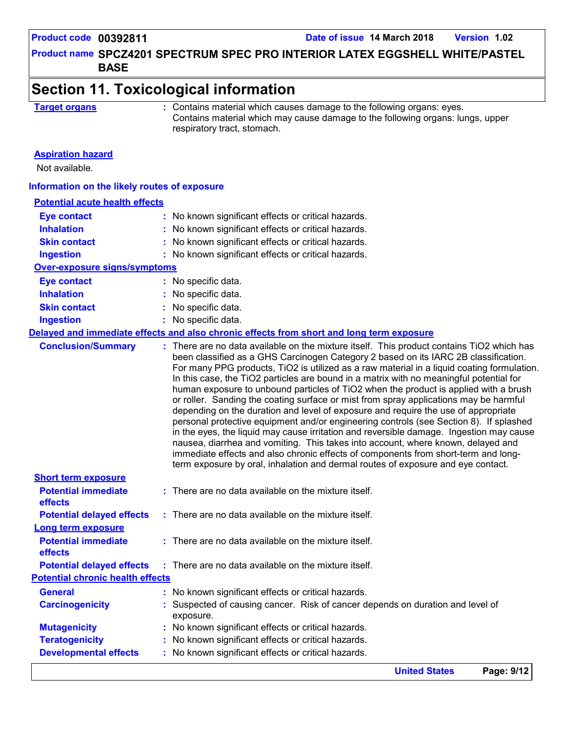### **Product name SPCZ4201 SPECTRUM SPEC PRO INTERIOR LATEX EGGSHELL WHITE/PASTEL [1] BASE**

| <b>Target organs</b>                                     | : Contains material which causes damage to the following organs: eyes.<br>Contains material which may cause damage to the following organs: lungs, upper<br>respiratory tract, stomach.                                                                                                                                                                                                                                                                                                                                                                                                                                                                                                                                                                                                                                                                                                                                                                                                                |  |  |  |  |
|----------------------------------------------------------|--------------------------------------------------------------------------------------------------------------------------------------------------------------------------------------------------------------------------------------------------------------------------------------------------------------------------------------------------------------------------------------------------------------------------------------------------------------------------------------------------------------------------------------------------------------------------------------------------------------------------------------------------------------------------------------------------------------------------------------------------------------------------------------------------------------------------------------------------------------------------------------------------------------------------------------------------------------------------------------------------------|--|--|--|--|
| <b>Aspiration hazard</b><br>Not available.               |                                                                                                                                                                                                                                                                                                                                                                                                                                                                                                                                                                                                                                                                                                                                                                                                                                                                                                                                                                                                        |  |  |  |  |
| Information on the likely routes of exposure             |                                                                                                                                                                                                                                                                                                                                                                                                                                                                                                                                                                                                                                                                                                                                                                                                                                                                                                                                                                                                        |  |  |  |  |
| <b>Potential acute health effects</b>                    |                                                                                                                                                                                                                                                                                                                                                                                                                                                                                                                                                                                                                                                                                                                                                                                                                                                                                                                                                                                                        |  |  |  |  |
| <b>Eye contact</b>                                       | : No known significant effects or critical hazards.                                                                                                                                                                                                                                                                                                                                                                                                                                                                                                                                                                                                                                                                                                                                                                                                                                                                                                                                                    |  |  |  |  |
| <b>Inhalation</b>                                        | : No known significant effects or critical hazards.                                                                                                                                                                                                                                                                                                                                                                                                                                                                                                                                                                                                                                                                                                                                                                                                                                                                                                                                                    |  |  |  |  |
| <b>Skin contact</b>                                      | : No known significant effects or critical hazards.                                                                                                                                                                                                                                                                                                                                                                                                                                                                                                                                                                                                                                                                                                                                                                                                                                                                                                                                                    |  |  |  |  |
| <b>Ingestion</b>                                         | : No known significant effects or critical hazards.                                                                                                                                                                                                                                                                                                                                                                                                                                                                                                                                                                                                                                                                                                                                                                                                                                                                                                                                                    |  |  |  |  |
| <b>Over-exposure signs/symptoms</b>                      |                                                                                                                                                                                                                                                                                                                                                                                                                                                                                                                                                                                                                                                                                                                                                                                                                                                                                                                                                                                                        |  |  |  |  |
| <b>Eye contact</b>                                       | : No specific data.                                                                                                                                                                                                                                                                                                                                                                                                                                                                                                                                                                                                                                                                                                                                                                                                                                                                                                                                                                                    |  |  |  |  |
| <b>Inhalation</b>                                        | : No specific data.                                                                                                                                                                                                                                                                                                                                                                                                                                                                                                                                                                                                                                                                                                                                                                                                                                                                                                                                                                                    |  |  |  |  |
| <b>Skin contact</b>                                      | No specific data.                                                                                                                                                                                                                                                                                                                                                                                                                                                                                                                                                                                                                                                                                                                                                                                                                                                                                                                                                                                      |  |  |  |  |
| <b>Ingestion</b>                                         | : No specific data.                                                                                                                                                                                                                                                                                                                                                                                                                                                                                                                                                                                                                                                                                                                                                                                                                                                                                                                                                                                    |  |  |  |  |
|                                                          | Delayed and immediate effects and also chronic effects from short and long term exposure                                                                                                                                                                                                                                                                                                                                                                                                                                                                                                                                                                                                                                                                                                                                                                                                                                                                                                               |  |  |  |  |
|                                                          | been classified as a GHS Carcinogen Category 2 based on its IARC 2B classification.<br>For many PPG products, TiO2 is utilized as a raw material in a liquid coating formulation.<br>In this case, the TiO2 particles are bound in a matrix with no meaningful potential for<br>human exposure to unbound particles of TiO2 when the product is applied with a brush<br>or roller. Sanding the coating surface or mist from spray applications may be harmful<br>depending on the duration and level of exposure and require the use of appropriate<br>personal protective equipment and/or engineering controls (see Section 8). If splashed<br>in the eyes, the liquid may cause irritation and reversible damage. Ingestion may cause<br>nausea, diarrhea and vomiting. This takes into account, where known, delayed and<br>immediate effects and also chronic effects of components from short-term and long-<br>term exposure by oral, inhalation and dermal routes of exposure and eye contact. |  |  |  |  |
| <b>Short term exposure</b><br><b>Potential immediate</b> | : There are no data available on the mixture itself.                                                                                                                                                                                                                                                                                                                                                                                                                                                                                                                                                                                                                                                                                                                                                                                                                                                                                                                                                   |  |  |  |  |
| effects<br><b>Potential delayed effects</b>              | : There are no data available on the mixture itself.                                                                                                                                                                                                                                                                                                                                                                                                                                                                                                                                                                                                                                                                                                                                                                                                                                                                                                                                                   |  |  |  |  |
| <b>Long term exposure</b>                                |                                                                                                                                                                                                                                                                                                                                                                                                                                                                                                                                                                                                                                                                                                                                                                                                                                                                                                                                                                                                        |  |  |  |  |
| <b>Potential immediate</b><br>effects                    | : There are no data available on the mixture itself.                                                                                                                                                                                                                                                                                                                                                                                                                                                                                                                                                                                                                                                                                                                                                                                                                                                                                                                                                   |  |  |  |  |
| <b>Potential delayed effects</b>                         | : There are no data available on the mixture itself.                                                                                                                                                                                                                                                                                                                                                                                                                                                                                                                                                                                                                                                                                                                                                                                                                                                                                                                                                   |  |  |  |  |
| <b>Potential chronic health effects</b>                  |                                                                                                                                                                                                                                                                                                                                                                                                                                                                                                                                                                                                                                                                                                                                                                                                                                                                                                                                                                                                        |  |  |  |  |
| <b>General</b>                                           | : No known significant effects or critical hazards.                                                                                                                                                                                                                                                                                                                                                                                                                                                                                                                                                                                                                                                                                                                                                                                                                                                                                                                                                    |  |  |  |  |
|                                                          | Suspected of causing cancer. Risk of cancer depends on duration and level of                                                                                                                                                                                                                                                                                                                                                                                                                                                                                                                                                                                                                                                                                                                                                                                                                                                                                                                           |  |  |  |  |
| <b>Carcinogenicity</b>                                   | exposure.                                                                                                                                                                                                                                                                                                                                                                                                                                                                                                                                                                                                                                                                                                                                                                                                                                                                                                                                                                                              |  |  |  |  |
| <b>Mutagenicity</b>                                      | No known significant effects or critical hazards.                                                                                                                                                                                                                                                                                                                                                                                                                                                                                                                                                                                                                                                                                                                                                                                                                                                                                                                                                      |  |  |  |  |
| <b>Teratogenicity</b>                                    | No known significant effects or critical hazards.                                                                                                                                                                                                                                                                                                                                                                                                                                                                                                                                                                                                                                                                                                                                                                                                                                                                                                                                                      |  |  |  |  |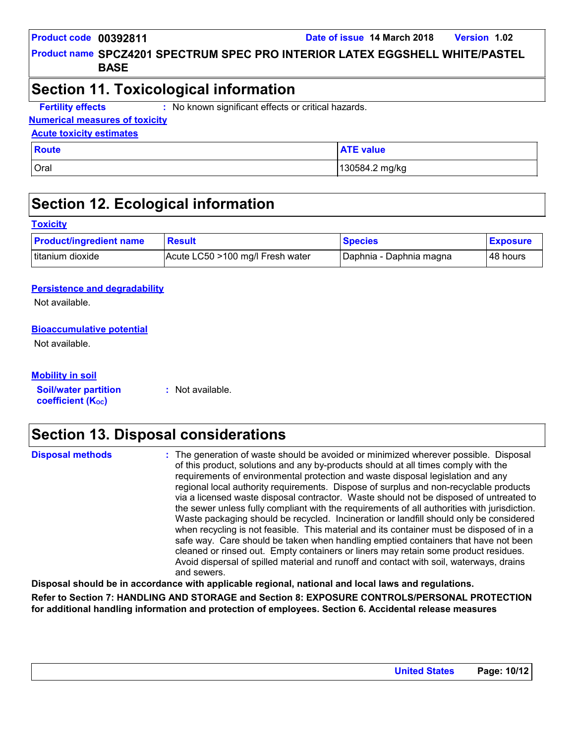**Product name SPCZ4201 SPECTRUM SPEC PRO INTERIOR LATEX EGGSHELL WHITE/PASTEL [1] BASE**

### **Section 11. Toxicological information**

**Fertility effects :** : No known significant effects or critical hazards.

#### **Numerical measures of toxicity**

#### **Acute toxicity estimates**

| <b>Route</b> | <b>ATE value</b> |
|--------------|------------------|
| Oral         | 130584.2 mg/kg   |

### **Section 12. Ecological information**

#### **Toxicity**

| <b>Product/ingredient name</b> | <b>Result</b>                    | <b>Species</b>          | <b>Exposure</b> |
|--------------------------------|----------------------------------|-------------------------|-----------------|
| titanium dioxide               | Acute LC50 >100 mg/l Fresh water | Daphnia - Daphnia magna | l 48 hours      |

#### **Persistence and degradability**

Not available.

#### **Bioaccumulative potential**

Not available.

| <b>Mobility in soil</b> |
|-------------------------|
|                         |

**Soil/water partition coefficient (K**<sub>oc</sub>)

**:** Not available.

### **Section 13. Disposal considerations**

| <b>Disposal methods</b> | : The generation of waste should be avoided or minimized wherever possible. Disposal<br>of this product, solutions and any by-products should at all times comply with the<br>requirements of environmental protection and waste disposal legislation and any<br>regional local authority requirements. Dispose of surplus and non-recyclable products<br>via a licensed waste disposal contractor. Waste should not be disposed of untreated to<br>the sewer unless fully compliant with the requirements of all authorities with jurisdiction.<br>Waste packaging should be recycled. Incineration or landfill should only be considered<br>when recycling is not feasible. This material and its container must be disposed of in a<br>safe way. Care should be taken when handling emptied containers that have not been<br>cleaned or rinsed out. Empty containers or liners may retain some product residues.<br>Avoid dispersal of spilled material and runoff and contact with soil, waterways, drains |
|-------------------------|----------------------------------------------------------------------------------------------------------------------------------------------------------------------------------------------------------------------------------------------------------------------------------------------------------------------------------------------------------------------------------------------------------------------------------------------------------------------------------------------------------------------------------------------------------------------------------------------------------------------------------------------------------------------------------------------------------------------------------------------------------------------------------------------------------------------------------------------------------------------------------------------------------------------------------------------------------------------------------------------------------------|
|                         | and sewers.                                                                                                                                                                                                                                                                                                                                                                                                                                                                                                                                                                                                                                                                                                                                                                                                                                                                                                                                                                                                    |

**Disposal should be in accordance with applicable regional, national and local laws and regulations. Refer to Section 7: HANDLING AND STORAGE and Section 8: EXPOSURE CONTROLS/PERSONAL PROTECTION for additional handling information and protection of employees. Section 6. Accidental release measures**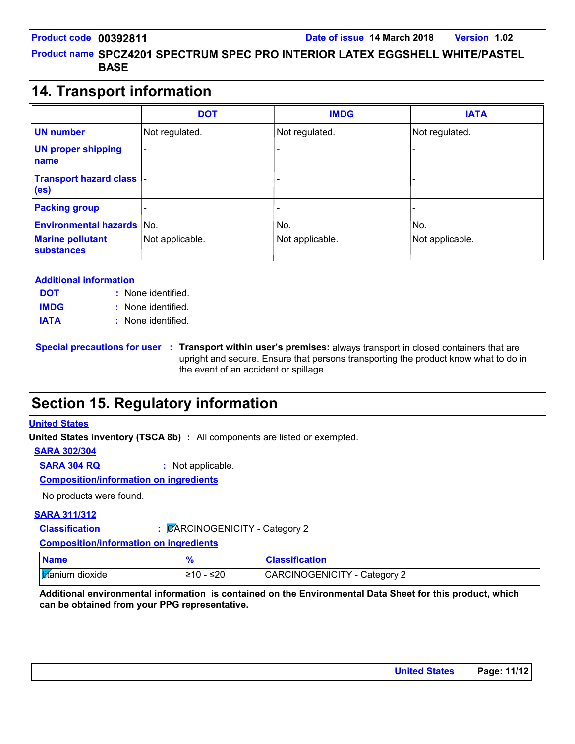**Product name SPCZ4201 SPECTRUM SPEC PRO INTERIOR LATEX EGGSHELL WHITE/PASTEL [1] BASE**

### **14. Transport information**

|                                                                                  | <b>DOT</b>      | <b>IMDG</b>            | <b>IATA</b>            |  |  |
|----------------------------------------------------------------------------------|-----------------|------------------------|------------------------|--|--|
| <b>UN number</b>                                                                 | Not regulated.  | Not regulated.         | Not regulated.         |  |  |
| <b>UN proper shipping</b><br>name                                                |                 |                        |                        |  |  |
| <b>Transport hazard class  -</b><br>(e <sub>s</sub> )                            |                 |                        |                        |  |  |
| <b>Packing group</b>                                                             |                 |                        |                        |  |  |
| <b>Environmental hazards No.</b><br><b>Marine pollutant</b><br><b>substances</b> | Not applicable. | No.<br>Not applicable. | No.<br>Not applicable. |  |  |

#### **Additional information**

| <b>DOT</b>  | : None identified. |
|-------------|--------------------|
| <b>IMDG</b> | : None identified. |
| <b>IATA</b> | : None identified. |

**Special precautions for user Transport within user's premises:** always transport in closed containers that are **:** upright and secure. Ensure that persons transporting the product know what to do in the event of an accident or spillage.

### **Section 15. Regulatory information**

#### **United States**

**United States inventory (TSCA 8b) :** All components are listed or exempted.

#### **SARA 302/304**

**SARA 304 RQ :** Not applicable.

#### **Composition/information on ingredients**

No products were found.

#### **SARA 311/312**

**Classification :** CARCINOGENICITY - Category 2

**Composition/information on ingredients**

| <b>Name</b>      |            | <b>Classification</b>        |
|------------------|------------|------------------------------|
| titanium dioxide | ≤20<br>≥10 | CARCINOGENICITY - Category 2 |

**Additional environmental information is contained on the Environmental Data Sheet for this product, which can be obtained from your PPG representative.**

| <b>United States</b> | Page: 11/12 |
|----------------------|-------------|
|----------------------|-------------|